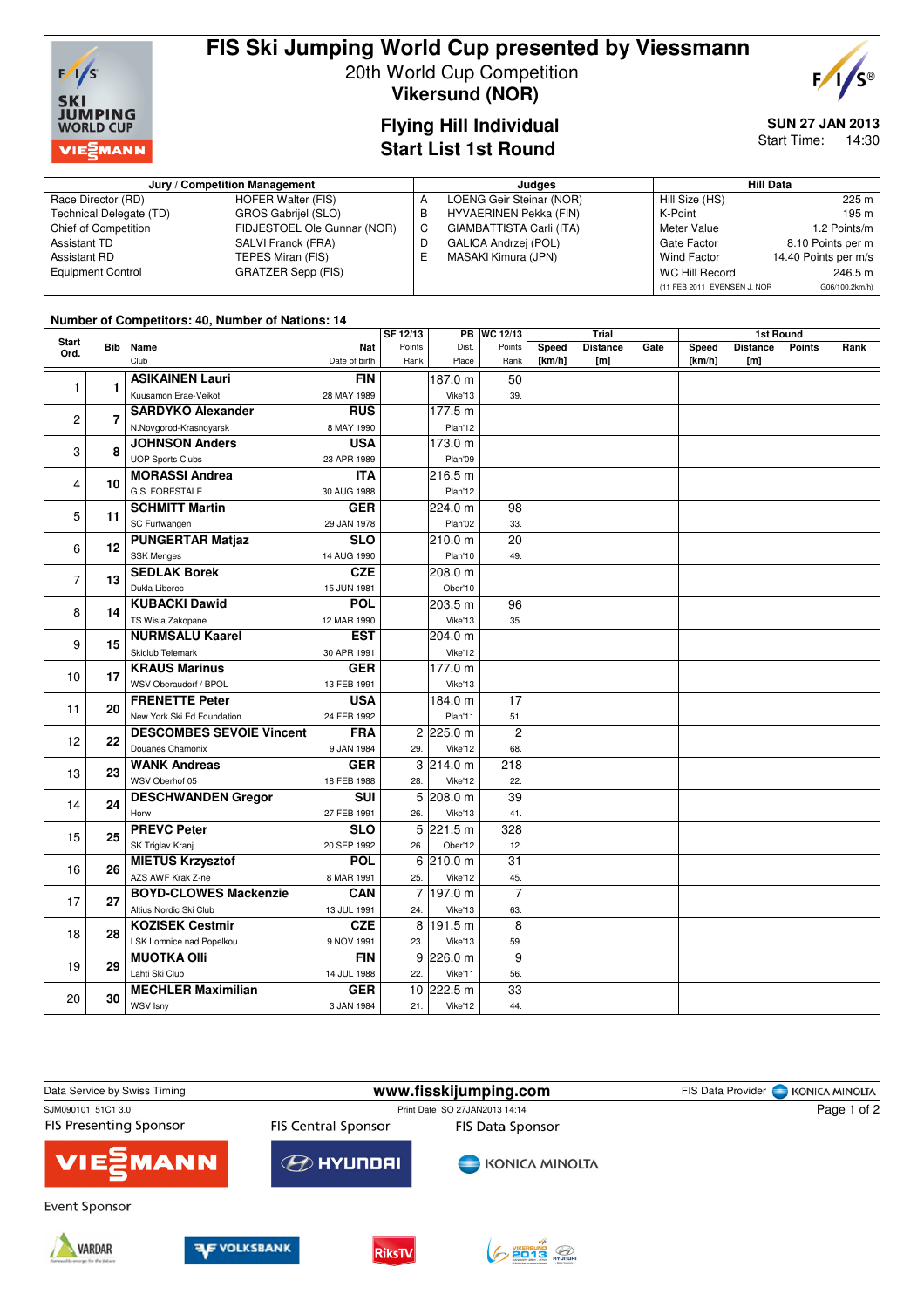

## **FIS Ski Jumping World Cup presented by Viessmann** 20th World Cup Competition

**Vikersund (NOR)**



### **Flying Hill Individual Start List 1st Round**

# **SUN 27 JAN 2013**

Start Time: 14:30

| Jury / Competition Management |                             |   | Judges                        | <b>Hill Data</b>            |                      |  |
|-------------------------------|-----------------------------|---|-------------------------------|-----------------------------|----------------------|--|
| Race Director (RD)            | <b>HOFER Walter (FIS)</b>   | А | LOENG Geir Steinar (NOR)      | Hill Size (HS)              | 225 m                |  |
| Technical Delegate (TD)       | GROS Gabrijel (SLO)         | B | <b>HYVAERINEN Pekka (FIN)</b> | K-Point                     | 195 m                |  |
| <b>Chief of Competition</b>   | FIDJESTOEL Ole Gunnar (NOR) | C | GIAMBATTISTA Carli (ITA)      | Meter Value                 | 1.2 Points/m         |  |
| Assistant TD                  | SALVI Franck (FRA)          | D | GALICA Andrzej (POL)          | Gate Factor                 | 8.10 Points per m    |  |
| Assistant RD                  | TEPES Miran (FIS)           | ᄇ | MASAKI Kimura (JPN)           | Wind Factor                 | 14.40 Points per m/s |  |
| <b>Equipment Control</b>      | GRATZER Sepp (FIS)          |   |                               | WC Hill Record              | 246.5 m              |  |
|                               |                             |   |                               | (11 FEB 2011 EVENSEN J. NOR | G06/100.2km/h)       |  |

#### **Number of Competitors: 40, Number of Nations: 14**

|               |                |                                       |                      | SF 12/13       |                      | <b>PB WC 12/13</b> | <b>Trial</b>    |                        | <b>1st Round</b> |                 |                        |               |      |
|---------------|----------------|---------------------------------------|----------------------|----------------|----------------------|--------------------|-----------------|------------------------|------------------|-----------------|------------------------|---------------|------|
| Start<br>Ord. | Bib            | Name<br>Club                          | Nat<br>Date of birth | Points<br>Rank | Dist.<br>Place       | Points<br>Rank     | Speed<br>[km/h] | <b>Distance</b><br>[m] | Gate             | Speed<br>[km/h] | <b>Distance</b><br>[m] | <b>Points</b> | Rank |
| 1             |                | <b>ASIKAINEN Lauri</b>                | <b>FIN</b>           |                | 187.0 m              | 50                 |                 |                        |                  |                 |                        |               |      |
|               | 1              | Kuusamon Erae-Veikot                  | 28 MAY 1989          |                | Vike'13              | 39.                |                 |                        |                  |                 |                        |               |      |
| 2             | $\overline{7}$ | <b>SARDYKO Alexander</b>              | <b>RUS</b>           |                | 177.5 m              |                    |                 |                        |                  |                 |                        |               |      |
|               |                | N.Novgorod-Krasnoyarsk                | 8 MAY 1990           |                | Plan'12              |                    |                 |                        |                  |                 |                        |               |      |
| 3             | 8              | <b>JOHNSON Anders</b>                 | <b>USA</b>           |                | 173.0 m              |                    |                 |                        |                  |                 |                        |               |      |
|               |                | <b>UOP Sports Clubs</b>               | 23 APR 1989          |                | Plan'09              |                    |                 |                        |                  |                 |                        |               |      |
| 4             | 10             | <b>MORASSI Andrea</b>                 | <b>ITA</b>           |                | 216.5 m              |                    |                 |                        |                  |                 |                        |               |      |
|               |                | G.S. FORESTALE                        | 30 AUG 1988          |                | Plan'12              |                    |                 |                        |                  |                 |                        |               |      |
| 5             | 11             | <b>SCHMITT Martin</b>                 | <b>GER</b>           |                | 224.0 m              | 98                 |                 |                        |                  |                 |                        |               |      |
|               |                | SC Furtwangen                         | 29 JAN 1978          |                | Plan'02              | 33.                |                 |                        |                  |                 |                        |               |      |
| 6             | 12             | <b>PUNGERTAR Matjaz</b>               | <b>SLO</b>           |                | 210.0 m              | 20                 |                 |                        |                  |                 |                        |               |      |
|               |                | <b>SSK Menges</b>                     | 14 AUG 1990          |                | Plan'10              | 49.                |                 |                        |                  |                 |                        |               |      |
| 7             | 13             | <b>SEDLAK Borek</b>                   | <b>CZE</b>           |                | 208.0 m              |                    |                 |                        |                  |                 |                        |               |      |
|               |                | Dukla Liberec                         | 15 JUN 1981          |                | Ober'10              |                    |                 |                        |                  |                 |                        |               |      |
| 8<br>9        | 14             | <b>KUBACKI Dawid</b>                  | <b>POL</b>           |                | 203.5 m              | 96                 |                 |                        |                  |                 |                        |               |      |
|               |                | TS Wisla Zakopane                     | 12 MAR 1990          |                | Vike'13              | 35.                |                 |                        |                  |                 |                        |               |      |
|               | 15             | <b>NURMSALU Kaarel</b>                | <b>EST</b>           |                | 204.0 m              |                    |                 |                        |                  |                 |                        |               |      |
|               |                | Skiclub Telemark                      | 30 APR 1991          |                | Vike'12              |                    |                 |                        |                  |                 |                        |               |      |
| 10            | 17             | <b>KRAUS Marinus</b>                  | <b>GER</b>           |                | 177.0 m              |                    |                 |                        |                  |                 |                        |               |      |
|               |                | WSV Oberaudorf / BPOL                 | 13 FEB 1991          |                | Vike'13              |                    |                 |                        |                  |                 |                        |               |      |
| 11            | 20             | <b>FRENETTE Peter</b>                 | <b>USA</b>           |                | 184.0 m              | 17                 |                 |                        |                  |                 |                        |               |      |
|               |                | New York Ski Ed Foundation            | 24 FEB 1992          |                | Plan'11              | 51.                |                 |                        |                  |                 |                        |               |      |
| 12            | 22             | <b>DESCOMBES SEVOIE Vincent</b>       | <b>FRA</b>           |                | $2$ 225.0 m          | $\overline{c}$     |                 |                        |                  |                 |                        |               |      |
|               |                | Douanes Chamonix                      | 9 JAN 1984           | 29.            | Vike'12              | 68.                |                 |                        |                  |                 |                        |               |      |
| 13            | 23             | <b>WANK Andreas</b><br>WSV Oberhof 05 | <b>GER</b>           |                | 3 214.0 m            | 218                |                 |                        |                  |                 |                        |               |      |
|               |                | <b>DESCHWANDEN Gregor</b>             | 18 FEB 1988<br>SUI   | 28.            | Vike'12<br>5 208.0 m | 22.<br>39          |                 |                        |                  |                 |                        |               |      |
| 14            | 24             | Horw                                  | 27 FEB 1991          | 26.            | Vike'13              | 41.                |                 |                        |                  |                 |                        |               |      |
|               |                | <b>PREVC Peter</b>                    | <b>SLO</b>           |                | 5 221.5 m            | 328                |                 |                        |                  |                 |                        |               |      |
| 15            | 25             | SK Triglav Kranj                      | 20 SEP 1992          | 26.            | Ober'12              | 12.                |                 |                        |                  |                 |                        |               |      |
|               |                | <b>MIETUS Krzysztof</b>               | POL                  |                | $6$ 210.0 m          | 31                 |                 |                        |                  |                 |                        |               |      |
| 16            | 26             | AZS AWF Krak Z-ne                     | 8 MAR 1991           | 25.            | Vike'12              | 45.                |                 |                        |                  |                 |                        |               |      |
| 17            | 27             | <b>BOYD-CLOWES Mackenzie</b>          | <b>CAN</b>           |                | 7 197.0 m            | $\overline{7}$     |                 |                        |                  |                 |                        |               |      |
|               |                | Altius Nordic Ski Club                | 13 JUL 1991          | 24.            | Vike'13              | 63.                |                 |                        |                  |                 |                        |               |      |
|               | 28             | <b>KOZISEK Cestmir</b>                | <b>CZE</b>           | 8              | 191.5 m              | 8                  |                 |                        |                  |                 |                        |               |      |
| 18            |                | LSK Lomnice nad Popelkou              | 9 NOV 1991           | 23.            | Vike'13              | 59.                |                 |                        |                  |                 |                        |               |      |
|               |                | <b>MUOTKA OIII</b>                    | <b>FIN</b>           |                | $9$ 226.0 m          | 9                  |                 |                        |                  |                 |                        |               |      |
| 19            | 29             | Lahti Ski Club                        | 14 JUL 1988          | 22.            | Vike'11              | 56.                |                 |                        |                  |                 |                        |               |      |
|               |                | <b>MECHLER Maximilian</b>             | <b>GER</b>           |                | 10 222.5 m           | 33                 |                 |                        |                  |                 |                        |               |      |
| 20            | 30             | WSV Isny                              | 3 JAN 1984           | 21.            | Vike'12              | 44.                |                 |                        |                  |                 |                        |               |      |